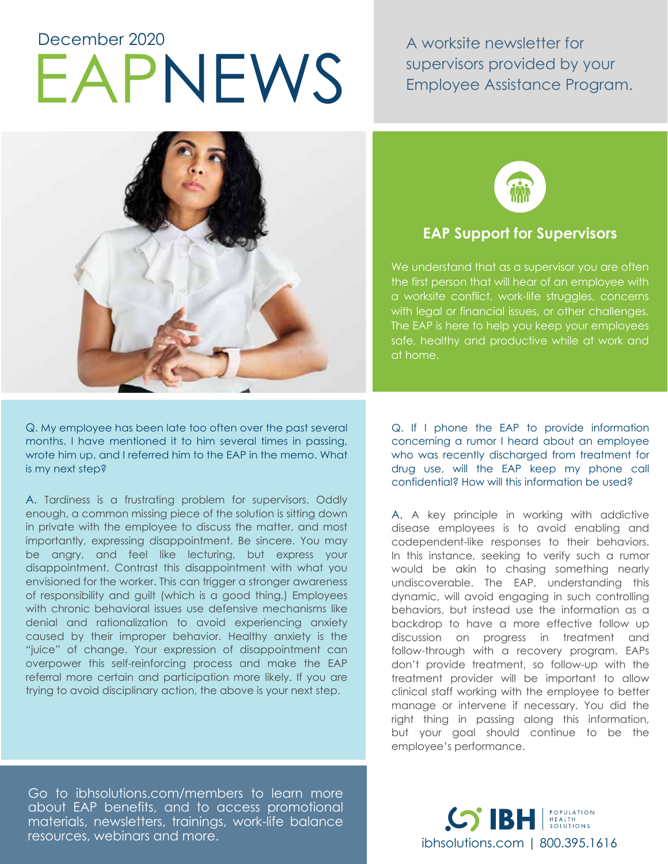# EAPNEWS December 2020

A worksite newsletter for supervisors provided by your Employee Assistance Program.



Q. My employee has been late too often over the past several months. I have mentioned it to him several times in passing, wrote him up, and I referred him to the EAP in the memo. What is my next step?

A. Tardiness is a frustrating problem for supervisors. Oddly enough, a common missing piece of the solution is sitting down in private with the employee to discuss the matter, and most importantly, expressing disappointment. Be sincere. You may be angry, and feel like lecturing, but express your disappointment. Contrast this disappointment with what you envisioned for the worker. This can trigger a stronger awareness of responsibility and guilt (which is a good thing.) Employees with chronic behavioral issues use defensive mechanisms like denial and rationalization to avoid experiencing anxiety caused by their improper behavior. Healthy anxiety is the "juice" of change. Your expression of disappointment can overpower this self-reinforcing process and make the EAP referral more certain and participation more likely. If you are trying to avoid disciplinary action, the above is your next step.

Go to ibhsolutions.com/members to learn more about EAP benefits, and to access promotional materials, newsletters, trainings, work-life balance resources, webinars and more.



## **EAP Support for Supervisors**

We understand that as a supervisor you are often the first person that will hear of an employee with a worksite conflict, work-life struggles, concerns with legal or financial issues, or other challenges. The EAP is here to help you keep your employees safe, healthy and productive while at work and at home.

Q. If I phone the EAP to provide information concerning a rumor I heard about an employee who was recently discharged from treatment for drug use, will the EAP keep my phone call confidential? How will this information be used?

A. A key principle in working with addictive disease employees is to avoid enabling and codependent-like responses to their behaviors. In this instance, seeking to verify such a rumor would be akin to chasing something nearly undiscoverable. The EAP, understanding this dynamic, will avoid engaging in such controlling behaviors, but instead use the information as a backdrop to have a more effective follow up discussion on progress in treatment and follow-through with a recovery program. EAPs don't provide treatment, so follow-up with the treatment provider will be important to allow clinical staff working with the employee to better manage or intervene if necessary. You did the right thing in passing along this information, but your goal should continue to be the employee's performance.